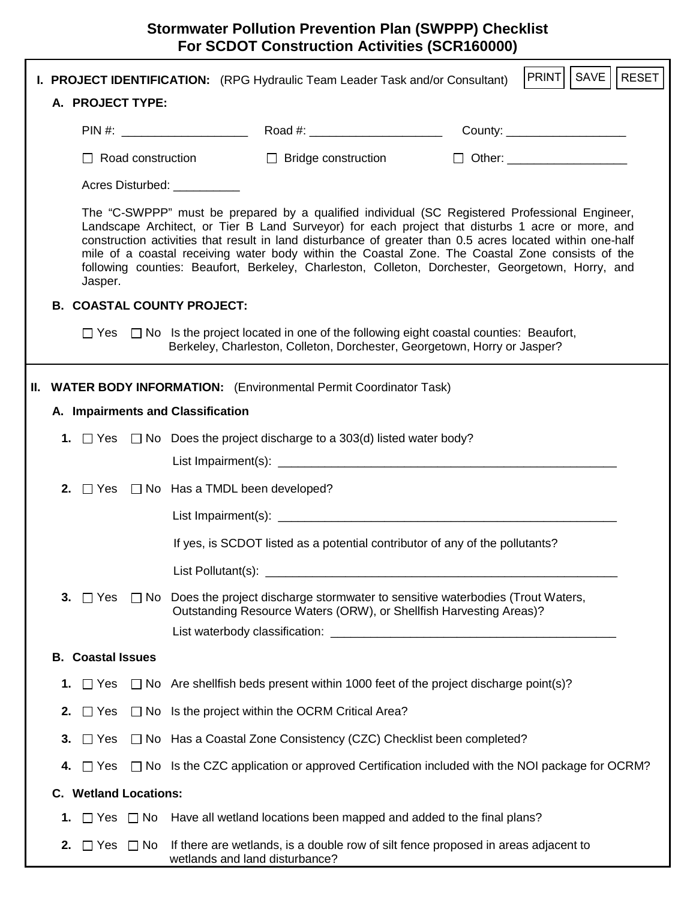|     |                                                                                                                                                                                                                                                                                                                                                                                                                                                                                                                                    |                              |                                                    | <b>I. PROJECT IDENTIFICATION:</b> (RPG Hydraulic Team Leader Task and/or Consultant)                                                                                              |  | PRINT<br>SAVE<br>  RESET       |  |
|-----|------------------------------------------------------------------------------------------------------------------------------------------------------------------------------------------------------------------------------------------------------------------------------------------------------------------------------------------------------------------------------------------------------------------------------------------------------------------------------------------------------------------------------------|------------------------------|----------------------------------------------------|-----------------------------------------------------------------------------------------------------------------------------------------------------------------------------------|--|--------------------------------|--|
|     |                                                                                                                                                                                                                                                                                                                                                                                                                                                                                                                                    | A. PROJECT TYPE:             |                                                    |                                                                                                                                                                                   |  |                                |  |
|     |                                                                                                                                                                                                                                                                                                                                                                                                                                                                                                                                    |                              |                                                    |                                                                                                                                                                                   |  | County: _____________________  |  |
|     |                                                                                                                                                                                                                                                                                                                                                                                                                                                                                                                                    | $\Box$ Road construction     |                                                    | $\Box$ Bridge construction                                                                                                                                                        |  | □ Other: _____________________ |  |
|     |                                                                                                                                                                                                                                                                                                                                                                                                                                                                                                                                    | Acres Disturbed: __________  |                                                    |                                                                                                                                                                                   |  |                                |  |
|     | The "C-SWPPP" must be prepared by a qualified individual (SC Registered Professional Engineer,<br>Landscape Architect, or Tier B Land Surveyor) for each project that disturbs 1 acre or more, and<br>construction activities that result in land disturbance of greater than 0.5 acres located within one-half<br>mile of a coastal receiving water body within the Coastal Zone. The Coastal Zone consists of the<br>following counties: Beaufort, Berkeley, Charleston, Colleton, Dorchester, Georgetown, Horry, and<br>Jasper. |                              |                                                    |                                                                                                                                                                                   |  |                                |  |
|     |                                                                                                                                                                                                                                                                                                                                                                                                                                                                                                                                    |                              | <b>B. COASTAL COUNTY PROJECT:</b>                  |                                                                                                                                                                                   |  |                                |  |
|     |                                                                                                                                                                                                                                                                                                                                                                                                                                                                                                                                    |                              |                                                    | $\Box$ Yes $\Box$ No Is the project located in one of the following eight coastal counties: Beaufort,<br>Berkeley, Charleston, Colleton, Dorchester, Georgetown, Horry or Jasper? |  |                                |  |
| II. |                                                                                                                                                                                                                                                                                                                                                                                                                                                                                                                                    |                              |                                                    | <b>WATER BODY INFORMATION:</b> (Environmental Permit Coordinator Task)                                                                                                            |  |                                |  |
|     |                                                                                                                                                                                                                                                                                                                                                                                                                                                                                                                                    |                              | A. Impairments and Classification                  |                                                                                                                                                                                   |  |                                |  |
|     |                                                                                                                                                                                                                                                                                                                                                                                                                                                                                                                                    |                              |                                                    | 1. $\Box$ Yes $\Box$ No Does the project discharge to a 303(d) listed water body?                                                                                                 |  |                                |  |
|     |                                                                                                                                                                                                                                                                                                                                                                                                                                                                                                                                    |                              |                                                    |                                                                                                                                                                                   |  |                                |  |
|     |                                                                                                                                                                                                                                                                                                                                                                                                                                                                                                                                    |                              | 2. $\Box$ Yes $\Box$ No Has a TMDL been developed? |                                                                                                                                                                                   |  |                                |  |
|     |                                                                                                                                                                                                                                                                                                                                                                                                                                                                                                                                    |                              |                                                    |                                                                                                                                                                                   |  |                                |  |
|     |                                                                                                                                                                                                                                                                                                                                                                                                                                                                                                                                    |                              |                                                    | If yes, is SCDOT listed as a potential contributor of any of the pollutants?                                                                                                      |  |                                |  |
|     |                                                                                                                                                                                                                                                                                                                                                                                                                                                                                                                                    |                              | List Pollutant(s): ____                            |                                                                                                                                                                                   |  |                                |  |
|     | 3. $\Box$ Yes                                                                                                                                                                                                                                                                                                                                                                                                                                                                                                                      |                              |                                                    | $\Box$ No Does the project discharge stormwater to sensitive waterbodies (Trout Waters,<br>Outstanding Resource Waters (ORW), or Shellfish Harvesting Areas)?                     |  |                                |  |
|     |                                                                                                                                                                                                                                                                                                                                                                                                                                                                                                                                    |                              |                                                    |                                                                                                                                                                                   |  |                                |  |
|     |                                                                                                                                                                                                                                                                                                                                                                                                                                                                                                                                    | <b>B.</b> Coastal Issues     |                                                    |                                                                                                                                                                                   |  |                                |  |
|     | 1.<br>$\Box$ Yes                                                                                                                                                                                                                                                                                                                                                                                                                                                                                                                   |                              |                                                    | $\Box$ No Are shellfish beds present within 1000 feet of the project discharge point(s)?                                                                                          |  |                                |  |
|     | 2.<br>$\Box$ Yes                                                                                                                                                                                                                                                                                                                                                                                                                                                                                                                   |                              |                                                    | $\Box$ No Is the project within the OCRM Critical Area?                                                                                                                           |  |                                |  |
|     | 3.<br>$\Box$ Yes                                                                                                                                                                                                                                                                                                                                                                                                                                                                                                                   |                              |                                                    | $\Box$ No Has a Coastal Zone Consistency (CZC) Checklist been completed?                                                                                                          |  |                                |  |
|     | $\Box$ Yes<br>4.                                                                                                                                                                                                                                                                                                                                                                                                                                                                                                                   |                              |                                                    | $\Box$ No Is the CZC application or approved Certification included with the NOI package for OCRM?                                                                                |  |                                |  |
|     |                                                                                                                                                                                                                                                                                                                                                                                                                                                                                                                                    | <b>C.</b> Wetland Locations: |                                                    |                                                                                                                                                                                   |  |                                |  |
|     | 1.                                                                                                                                                                                                                                                                                                                                                                                                                                                                                                                                 |                              |                                                    | $\Box$ Yes $\Box$ No Have all wetland locations been mapped and added to the final plans?                                                                                         |  |                                |  |
|     | 2.                                                                                                                                                                                                                                                                                                                                                                                                                                                                                                                                 | $\Box$ Yes $\Box$ No         |                                                    | If there are wetlands, is a double row of silt fence proposed in areas adjacent to<br>wetlands and land disturbance?                                                              |  |                                |  |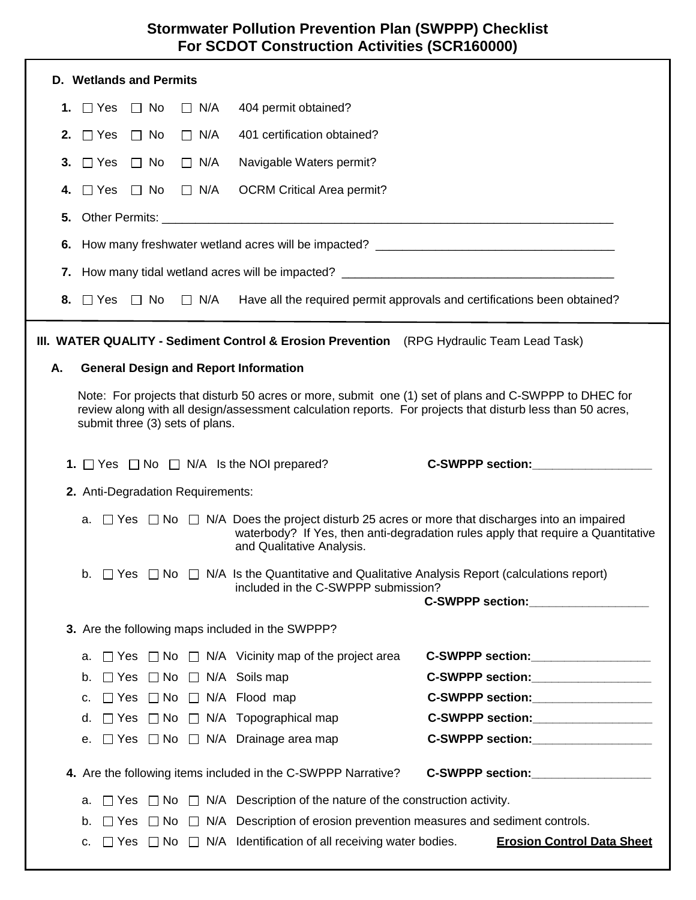|                                                                                                                                                                                                                                                        |                                                                                                                                                                                                                                |                         | <b>D.</b> Wetlands and Permits |                                   |                                                                                                                                                     |  |                                                                                                                                                                                                                                |
|--------------------------------------------------------------------------------------------------------------------------------------------------------------------------------------------------------------------------------------------------------|--------------------------------------------------------------------------------------------------------------------------------------------------------------------------------------------------------------------------------|-------------------------|--------------------------------|-----------------------------------|-----------------------------------------------------------------------------------------------------------------------------------------------------|--|--------------------------------------------------------------------------------------------------------------------------------------------------------------------------------------------------------------------------------|
|                                                                                                                                                                                                                                                        | 1. $\Box$ Yes                                                                                                                                                                                                                  |                         | $\Box$ No                      | $\Box$ N/A                        | 404 permit obtained?                                                                                                                                |  |                                                                                                                                                                                                                                |
| 2.                                                                                                                                                                                                                                                     |                                                                                                                                                                                                                                | $\Box$ Yes              | $\Box$ No                      | $\Box$ N/A                        | 401 certification obtained?                                                                                                                         |  |                                                                                                                                                                                                                                |
| 3.                                                                                                                                                                                                                                                     |                                                                                                                                                                                                                                | $\Box$ Yes              | $\Box$ No                      | $\Box$ N/A                        | Navigable Waters permit?                                                                                                                            |  |                                                                                                                                                                                                                                |
| 4.                                                                                                                                                                                                                                                     |                                                                                                                                                                                                                                | $\Box$ Yes              | $\Box$ No                      | $\Box$ N/A                        | <b>OCRM Critical Area permit?</b>                                                                                                                   |  |                                                                                                                                                                                                                                |
|                                                                                                                                                                                                                                                        |                                                                                                                                                                                                                                |                         |                                |                                   |                                                                                                                                                     |  |                                                                                                                                                                                                                                |
|                                                                                                                                                                                                                                                        |                                                                                                                                                                                                                                |                         |                                |                                   |                                                                                                                                                     |  |                                                                                                                                                                                                                                |
|                                                                                                                                                                                                                                                        |                                                                                                                                                                                                                                |                         |                                |                                   | 6. How many freshwater wetland acres will be impacted? _________________________                                                                    |  |                                                                                                                                                                                                                                |
|                                                                                                                                                                                                                                                        |                                                                                                                                                                                                                                |                         |                                |                                   | 7. How many tidal wetland acres will be impacted? ______________________________                                                                    |  |                                                                                                                                                                                                                                |
|                                                                                                                                                                                                                                                        |                                                                                                                                                                                                                                | 8. $\Box$ Yes $\Box$ No |                                | $\Box$ N/A                        | Have all the required permit approvals and certifications been obtained?                                                                            |  |                                                                                                                                                                                                                                |
| III. WATER QUALITY - Sediment Control & Erosion Prevention (RPG Hydraulic Team Lead Task)                                                                                                                                                              |                                                                                                                                                                                                                                |                         |                                |                                   |                                                                                                                                                     |  |                                                                                                                                                                                                                                |
| А.                                                                                                                                                                                                                                                     |                                                                                                                                                                                                                                |                         |                                |                                   | <b>General Design and Report Information</b>                                                                                                        |  |                                                                                                                                                                                                                                |
| Note: For projects that disturb 50 acres or more, submit one (1) set of plans and C-SWPPP to DHEC for<br>review along with all design/assessment calculation reports. For projects that disturb less than 50 acres,<br>submit three (3) sets of plans. |                                                                                                                                                                                                                                |                         |                                |                                   |                                                                                                                                                     |  |                                                                                                                                                                                                                                |
|                                                                                                                                                                                                                                                        |                                                                                                                                                                                                                                |                         |                                |                                   | 1. $\Box$ Yes $\Box$ No $\Box$ N/A Is the NOI prepared?                                                                                             |  | <b>C-SWPPP section:</b>                                                                                                                                                                                                        |
|                                                                                                                                                                                                                                                        |                                                                                                                                                                                                                                |                         |                                | 2. Anti-Degradation Requirements: |                                                                                                                                                     |  |                                                                                                                                                                                                                                |
|                                                                                                                                                                                                                                                        | a. $\Box$ Yes $\Box$ No $\Box$ N/A Does the project disturb 25 acres or more that discharges into an impaired<br>waterbody? If Yes, then anti-degradation rules apply that require a Quantitative<br>and Qualitative Analysis. |                         |                                |                                   |                                                                                                                                                     |  |                                                                                                                                                                                                                                |
|                                                                                                                                                                                                                                                        |                                                                                                                                                                                                                                |                         |                                |                                   | b. $\Box$ Yes $\Box$ No $\Box$ N/A Is the Quantitative and Qualitative Analysis Report (calculations report)<br>included in the C-SWPPP submission? |  | C-SWPPP section: Entertainment of the section of the section of the section of the section of the section of the section of the section of the section of the section of the section of the section of the section of the sect |
|                                                                                                                                                                                                                                                        |                                                                                                                                                                                                                                |                         |                                |                                   | 3. Are the following maps included in the SWPPP?                                                                                                    |  |                                                                                                                                                                                                                                |
|                                                                                                                                                                                                                                                        |                                                                                                                                                                                                                                |                         |                                |                                   | a. $\Box$ Yes $\Box$ No $\Box$ N/A Vicinity map of the project area                                                                                 |  | C-SWPPP section:__________________                                                                                                                                                                                             |
|                                                                                                                                                                                                                                                        | b.                                                                                                                                                                                                                             |                         |                                |                                   | $\Box$ Yes $\Box$ No $\Box$ N/A Soils map                                                                                                           |  | C-SWPPP section:__________________                                                                                                                                                                                             |
|                                                                                                                                                                                                                                                        | C.                                                                                                                                                                                                                             |                         |                                |                                   | $\Box$ Yes $\Box$ No $\Box$ N/A Flood map                                                                                                           |  | C-SWPPP section:__________________                                                                                                                                                                                             |
|                                                                                                                                                                                                                                                        |                                                                                                                                                                                                                                |                         |                                |                                   | d. $\Box$ Yes $\Box$ No $\Box$ N/A Topographical map                                                                                                |  | C-SWPPP section:___________________                                                                                                                                                                                            |
|                                                                                                                                                                                                                                                        |                                                                                                                                                                                                                                |                         |                                |                                   | e. □ Yes □ No □ N/A Drainage area map                                                                                                               |  | C-SWPPP section:__________________                                                                                                                                                                                             |
|                                                                                                                                                                                                                                                        |                                                                                                                                                                                                                                |                         |                                |                                   | 4. Are the following items included in the C-SWPPP Narrative?                                                                                       |  | C-SWPPP section:__________________                                                                                                                                                                                             |
|                                                                                                                                                                                                                                                        |                                                                                                                                                                                                                                |                         |                                |                                   | a. $\Box$ Yes $\Box$ No $\Box$ N/A Description of the nature of the construction activity.                                                          |  |                                                                                                                                                                                                                                |
|                                                                                                                                                                                                                                                        |                                                                                                                                                                                                                                |                         |                                |                                   | b. $\Box$ Yes $\Box$ No $\Box$ N/A Description of erosion prevention measures and sediment controls.                                                |  |                                                                                                                                                                                                                                |
|                                                                                                                                                                                                                                                        | C.                                                                                                                                                                                                                             |                         |                                |                                   | $\Box$ Yes $\Box$ No $\Box$ N/A Identification of all receiving water bodies.                                                                       |  | <b>Erosion Control Data Sheet</b>                                                                                                                                                                                              |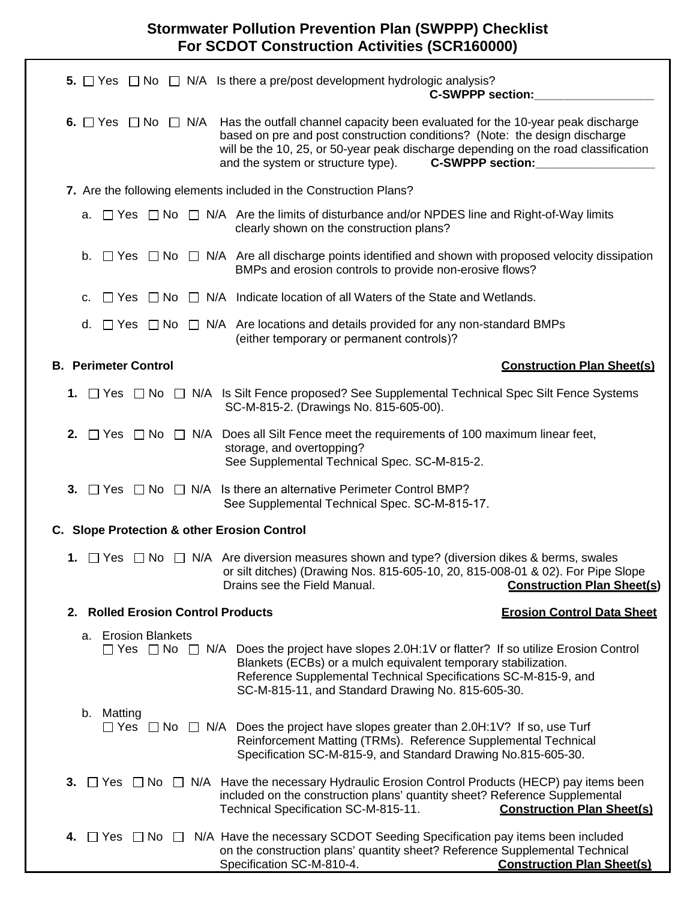|                                             | <b>5.</b> $\Box$ Yes $\Box$ No $\Box$ N/A Is there a pre/post development hydrologic analysis?<br><b>C-SWPPP section:</b>                                                                                                                                                                                                                              |                                   |
|---------------------------------------------|--------------------------------------------------------------------------------------------------------------------------------------------------------------------------------------------------------------------------------------------------------------------------------------------------------------------------------------------------------|-----------------------------------|
|                                             | 6. $\Box$ Yes $\Box$ No $\Box$ N/A Has the outfall channel capacity been evaluated for the 10-year peak discharge<br>based on pre and post construction conditions? (Note: the design discharge<br>will be the 10, 25, or 50-year peak discharge depending on the road classification<br><b>C-SWPPP section:</b><br>and the system or structure type). |                                   |
|                                             | 7. Are the following elements included in the Construction Plans?                                                                                                                                                                                                                                                                                      |                                   |
| а.                                          | $\Box$ Yes $\Box$ No $\Box$ N/A Are the limits of disturbance and/or NPDES line and Right-of-Way limits<br>clearly shown on the construction plans?                                                                                                                                                                                                    |                                   |
| b.                                          | $\Box$ Yes $\Box$ No $\Box$ N/A Are all discharge points identified and shown with proposed velocity dissipation<br>BMPs and erosion controls to provide non-erosive flows?                                                                                                                                                                            |                                   |
| c.                                          | $\Box$ Yes $\Box$ No $\Box$ N/A Indicate location of all Waters of the State and Wetlands.                                                                                                                                                                                                                                                             |                                   |
| d.                                          | $\Box$ Yes $\Box$ No $\Box$ N/A Are locations and details provided for any non-standard BMPs<br>(either temporary or permanent controls)?                                                                                                                                                                                                              |                                   |
| <b>B. Perimeter Control</b>                 |                                                                                                                                                                                                                                                                                                                                                        | <b>Construction Plan Sheet(s)</b> |
|                                             | 1. □ Yes □ No □ N/A Is Silt Fence proposed? See Supplemental Technical Spec Silt Fence Systems<br>SC-M-815-2. (Drawings No. 815-605-00).                                                                                                                                                                                                               |                                   |
|                                             | <b>2.</b> $\Box$ Yes $\Box$ No $\Box$ N/A Does all Silt Fence meet the requirements of 100 maximum linear feet,<br>storage, and overtopping?<br>See Supplemental Technical Spec. SC-M-815-2.                                                                                                                                                           |                                   |
|                                             | 3. $\Box$ Yes $\Box$ No $\Box$ N/A Is there an alternative Perimeter Control BMP?<br>See Supplemental Technical Spec. SC-M-815-17.                                                                                                                                                                                                                     |                                   |
| C. Slope Protection & other Erosion Control |                                                                                                                                                                                                                                                                                                                                                        |                                   |
| 1. $\Box$ Yes                               | $\Box$ No $\Box$ N/A Are diversion measures shown and type? (diversion dikes & berms, swales<br>or silt ditches) (Drawing Nos. 815-605-10, 20, 815-008-01 & 02). For Pipe Slope<br>Drains see the Field Manual.                                                                                                                                        | <b>Construction Plan Sheet(s)</b> |
| 2. Rolled Erosion Control Products          |                                                                                                                                                                                                                                                                                                                                                        | <b>Erosion Control Data Sheet</b> |
| a. Erosion Blankets                         | $\Box$ Yes $\Box$ No $\Box$ N/A Does the project have slopes 2.0H:1V or flatter? If so utilize Erosion Control<br>Blankets (ECBs) or a mulch equivalent temporary stabilization.<br>Reference Supplemental Technical Specifications SC-M-815-9, and<br>SC-M-815-11, and Standard Drawing No. 815-605-30.                                               |                                   |
| b. Matting                                  | $\Box$ Yes $\Box$ No $\Box$ N/A Does the project have slopes greater than 2.0H:1V? If so, use Turf<br>Reinforcement Matting (TRMs). Reference Supplemental Technical<br>Specification SC-M-815-9, and Standard Drawing No.815-605-30.                                                                                                                  |                                   |
| 3.                                          | $\Box$ Yes $\Box$ No $\Box$ N/A Have the necessary Hydraulic Erosion Control Products (HECP) pay items been<br>included on the construction plans' quantity sheet? Reference Supplemental<br>Technical Specification SC-M-815-11.                                                                                                                      | <b>Construction Plan Sheet(s)</b> |
| $\Box$ Yes<br>$\Box$ No $\Box$<br>4.        | N/A Have the necessary SCDOT Seeding Specification pay items been included<br>on the construction plans' quantity sheet? Reference Supplemental Technical<br>Specification SC-M-810-4.                                                                                                                                                                 | <b>Construction Plan Sheet(s)</b> |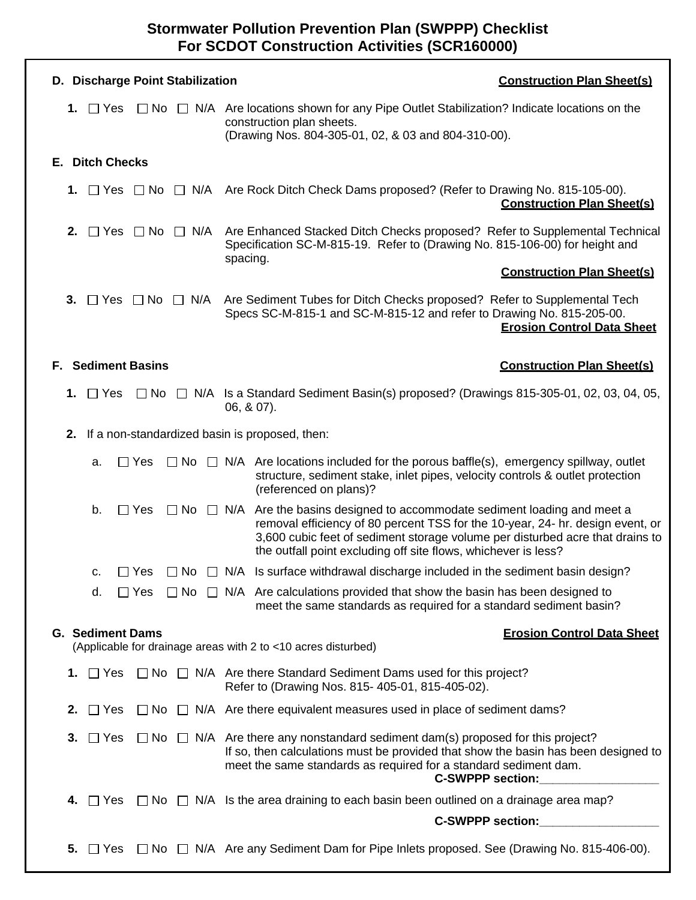| D. Discharge Point Stabilization                                                                                              | <b>Construction Plan Sheet(s)</b>                                                                                                                                                                                                                                                                                            |  |  |  |  |  |
|-------------------------------------------------------------------------------------------------------------------------------|------------------------------------------------------------------------------------------------------------------------------------------------------------------------------------------------------------------------------------------------------------------------------------------------------------------------------|--|--|--|--|--|
| 1. $\Box$ Yes                                                                                                                 | $\Box$ No $\Box$ N/A Are locations shown for any Pipe Outlet Stabilization? Indicate locations on the<br>construction plan sheets.<br>(Drawing Nos. 804-305-01, 02, & 03 and 804-310-00).                                                                                                                                    |  |  |  |  |  |
| <b>E. Ditch Checks</b>                                                                                                        |                                                                                                                                                                                                                                                                                                                              |  |  |  |  |  |
|                                                                                                                               | 1. T Yes T No T N/A Are Rock Ditch Check Dams proposed? (Refer to Drawing No. 815-105-00).<br><b>Construction Plan Sheet(s)</b>                                                                                                                                                                                              |  |  |  |  |  |
| $\Box$ Yes $\Box$ No $\Box$ N/A<br>2.                                                                                         | Are Enhanced Stacked Ditch Checks proposed? Refer to Supplemental Technical<br>Specification SC-M-815-19. Refer to (Drawing No. 815-106-00) for height and<br>spacing.                                                                                                                                                       |  |  |  |  |  |
|                                                                                                                               | <b>Construction Plan Sheet(s)</b>                                                                                                                                                                                                                                                                                            |  |  |  |  |  |
| $\Box$ Yes $\Box$ No $\Box$ N/A<br>3.                                                                                         | Are Sediment Tubes for Ditch Checks proposed? Refer to Supplemental Tech<br>Specs SC-M-815-1 and SC-M-815-12 and refer to Drawing No. 815-205-00.<br><b>Erosion Control Data Sheet</b>                                                                                                                                       |  |  |  |  |  |
| <b>Sediment Basins</b><br><b>Construction Plan Sheet(s)</b><br>F.                                                             |                                                                                                                                                                                                                                                                                                                              |  |  |  |  |  |
| $\Box$ Yes<br>1.                                                                                                              | $\Box$ No $\Box$ N/A Is a Standard Sediment Basin(s) proposed? (Drawings 815-305-01, 02, 03, 04, 05,<br>$06, 807$ ).                                                                                                                                                                                                         |  |  |  |  |  |
| 2. If a non-standardized basin is proposed, then:                                                                             |                                                                                                                                                                                                                                                                                                                              |  |  |  |  |  |
| $\Box$ Yes<br>a.                                                                                                              | $\Box$ No $\Box$ N/A Are locations included for the porous baffle(s), emergency spillway, outlet<br>structure, sediment stake, inlet pipes, velocity controls & outlet protection<br>(referenced on plans)?                                                                                                                  |  |  |  |  |  |
| b.<br>$\Box$ Yes                                                                                                              | $\Box$ No $\Box$ N/A Are the basins designed to accommodate sediment loading and meet a<br>removal efficiency of 80 percent TSS for the 10-year, 24- hr. design event, or<br>3,600 cubic feet of sediment storage volume per disturbed acre that drains to<br>the outfall point excluding off site flows, whichever is less? |  |  |  |  |  |
| $\Box$ Yes<br>$\Box$ No<br>C.                                                                                                 | N/A Is surface withdrawal discharge included in the sediment basin design?                                                                                                                                                                                                                                                   |  |  |  |  |  |
| d.<br>$\Box$ Yes                                                                                                              | $\Box$ No $\Box$ N/A Are calculations provided that show the basin has been designed to<br>meet the same standards as required for a standard sediment basin?                                                                                                                                                                |  |  |  |  |  |
| <b>G. Sediment Dams</b><br><b>Erosion Control Data Sheet</b><br>(Applicable for drainage areas with 2 to <10 acres disturbed) |                                                                                                                                                                                                                                                                                                                              |  |  |  |  |  |
| $\Box$ Yes<br>1.                                                                                                              | $\Box$ No $\Box$ N/A Are there Standard Sediment Dams used for this project?<br>Refer to (Drawing Nos. 815-405-01, 815-405-02).                                                                                                                                                                                              |  |  |  |  |  |
| $\Box$ Yes<br>2.                                                                                                              | $\Box$ No $\Box$ N/A Are there equivalent measures used in place of sediment dams?                                                                                                                                                                                                                                           |  |  |  |  |  |
| $\Box$ Yes<br>3.                                                                                                              | $\Box$ No $\Box$ N/A Are there any nonstandard sediment dam(s) proposed for this project?<br>If so, then calculations must be provided that show the basin has been designed to<br>meet the same standards as required for a standard sediment dam.<br>C-SWPPP section:                                                      |  |  |  |  |  |
| $\Box$ Yes<br>4.                                                                                                              | $\Box$ No $\Box$ N/A Is the area draining to each basin been outlined on a drainage area map?                                                                                                                                                                                                                                |  |  |  |  |  |
|                                                                                                                               | <b>C-SWPPP section:</b>                                                                                                                                                                                                                                                                                                      |  |  |  |  |  |
| 5.<br>$\Box$ Yes                                                                                                              | $\Box$ No $\Box$ N/A Are any Sediment Dam for Pipe Inlets proposed. See (Drawing No. 815-406-00).                                                                                                                                                                                                                            |  |  |  |  |  |